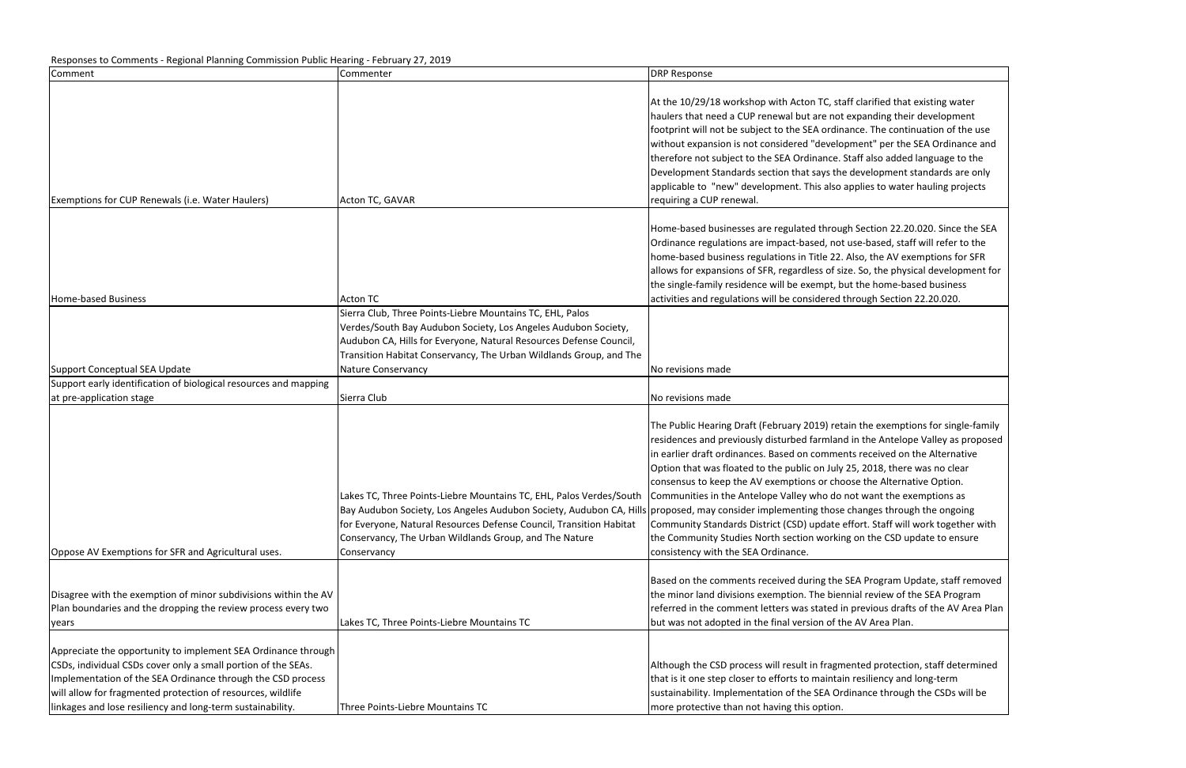| Comment                                                                                                                                                                                                                                                                                                                    | Commenter                                                                                                                                                                                                                                                                                                                                   | <b>DRP Response</b>                                                                                                                                                                                                                                                                                                                                                                                                                                                             |
|----------------------------------------------------------------------------------------------------------------------------------------------------------------------------------------------------------------------------------------------------------------------------------------------------------------------------|---------------------------------------------------------------------------------------------------------------------------------------------------------------------------------------------------------------------------------------------------------------------------------------------------------------------------------------------|---------------------------------------------------------------------------------------------------------------------------------------------------------------------------------------------------------------------------------------------------------------------------------------------------------------------------------------------------------------------------------------------------------------------------------------------------------------------------------|
| Exemptions for CUP Renewals (i.e. Water Haulers)                                                                                                                                                                                                                                                                           | Acton TC, GAVAR                                                                                                                                                                                                                                                                                                                             | At the 10/29/18 workshop with Acton TC, staff clar<br>haulers that need a CUP renewal but are not expar<br>footprint will not be subject to the SEA ordinance.<br>without expansion is not considered "developmen<br>therefore not subject to the SEA Ordinance. Staff a<br>Development Standards section that says the deve<br>applicable to "new" development. This also applie<br>requiring a CUP renewal.                                                                   |
| Home-based Business                                                                                                                                                                                                                                                                                                        | Acton TC                                                                                                                                                                                                                                                                                                                                    | Home-based businesses are regulated through Sec<br>Ordinance regulations are impact-based, not use-b<br>home-based business regulations in Title 22. Also,<br>allows for expansions of SFR, regardless of size. So,<br>the single-family residence will be exempt, but the<br>activities and regulations will be considered throug                                                                                                                                              |
| Support Conceptual SEA Update                                                                                                                                                                                                                                                                                              | Sierra Club, Three Points-Liebre Mountains TC, EHL, Palos<br>Verdes/South Bay Audubon Society, Los Angeles Audubon Society,<br>Audubon CA, Hills for Everyone, Natural Resources Defense Council,<br>Transition Habitat Conservancy, The Urban Wildlands Group, and The<br>Nature Conservancy                                               | No revisions made                                                                                                                                                                                                                                                                                                                                                                                                                                                               |
| Support early identification of biological resources and mapping                                                                                                                                                                                                                                                           |                                                                                                                                                                                                                                                                                                                                             |                                                                                                                                                                                                                                                                                                                                                                                                                                                                                 |
| at pre-application stage                                                                                                                                                                                                                                                                                                   | Sierra Club                                                                                                                                                                                                                                                                                                                                 | No revisions made                                                                                                                                                                                                                                                                                                                                                                                                                                                               |
| Oppose AV Exemptions for SFR and Agricultural uses.                                                                                                                                                                                                                                                                        | Lakes TC, Three Points-Liebre Mountains TC, EHL, Palos Verdes/South<br>Bay Audubon Society, Los Angeles Audubon Society, Audubon CA, Hills orroposed, may consider implementing those chang<br>for Everyone, Natural Resources Defense Council, Transition Habitat<br>Conservancy, The Urban Wildlands Group, and The Nature<br>Conservancy | The Public Hearing Draft (February 2019) retain the<br>residences and previously disturbed farmland in th<br>in earlier draft ordinances. Based on comments red<br>Option that was floated to the public on July 25, 20<br>consensus to keep the AV exemptions or choose th<br>Communities in the Antelope Valley who do not wa<br>Community Standards District (CSD) update effort.<br>the Community Studies North section working on t<br>consistency with the SEA Ordinance. |
| Disagree with the exemption of minor subdivisions within the AV<br>Plan boundaries and the dropping the review process every two<br>years                                                                                                                                                                                  | Lakes TC, Three Points-Liebre Mountains TC                                                                                                                                                                                                                                                                                                  | Based on the comments received during the SEA P<br>the minor land divisions exemption. The biennial re<br>referred in the comment letters was stated in prev<br>but was not adopted in the final version of the AV.                                                                                                                                                                                                                                                             |
| Appreciate the opportunity to implement SEA Ordinance through<br>CSDs, individual CSDs cover only a small portion of the SEAs.<br>Implementation of the SEA Ordinance through the CSD process<br>will allow for fragmented protection of resources, wildlife<br>linkages and lose resiliency and long-term sustainability. | Three Points-Liebre Mountains TC                                                                                                                                                                                                                                                                                                            | Although the CSD process will result in fragmented<br>that is it one step closer to efforts to maintain resil<br>sustainability. Implementation of the SEA Ordinano<br>more protective than not having this option.                                                                                                                                                                                                                                                             |

Inted that existing water nding their development The continuation of the use it" per the SEA Ordinance and also added language to the elopment standards are only es to water hauling projects

 $\mathsf{ction}\ 22.20.020.$  Since the SEA pased, staff will refer to the the AV exemptions for SFR , the physical development for home-based business gh Section 22.20.020.

e exemptions for single-family ne Antelope Valley as proposed ceived on the Alternative 018, there was no clear he Alternative Option. vant the exemptions as ges through the ongoing  $\therefore$  Staff will work together with the CSD update to ensure

rogram Update, staff removed eview of the SEA Program ious drafts of the AV Area Plan Area Plan.

I protection, staff determined liency and long-term ce through the CSDs will be

## Responses to Comments ‐ Regional Planning Commission Public Hearing ‐ February 27, 2019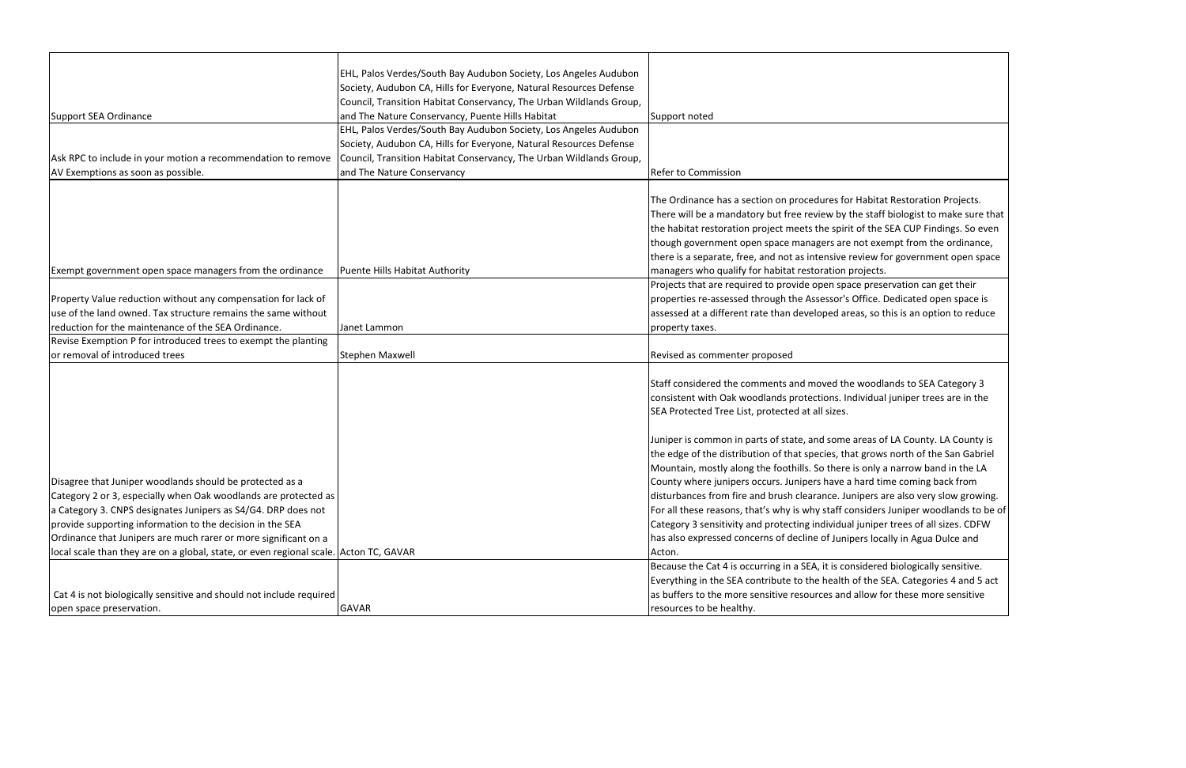|                                                                                       | EHL, Palos Verdes/South Bay Audubon Society, Los Angeles Audubon    |                                                                                   |
|---------------------------------------------------------------------------------------|---------------------------------------------------------------------|-----------------------------------------------------------------------------------|
|                                                                                       | Society, Audubon CA, Hills for Everyone, Natural Resources Defense  |                                                                                   |
|                                                                                       | Council, Transition Habitat Conservancy, The Urban Wildlands Group, |                                                                                   |
| Support SEA Ordinance                                                                 | and The Nature Conservancy, Puente Hills Habitat                    | Support noted                                                                     |
|                                                                                       | EHL, Palos Verdes/South Bay Audubon Society, Los Angeles Audubon    |                                                                                   |
|                                                                                       | Society, Audubon CA, Hills for Everyone, Natural Resources Defense  |                                                                                   |
| Ask RPC to include in your motion a recommendation to remove                          | Council, Transition Habitat Conservancy, The Urban Wildlands Group, |                                                                                   |
| AV Exemptions as soon as possible.                                                    | and The Nature Conservancy                                          | <b>Refer to Commission</b>                                                        |
|                                                                                       |                                                                     | The Ordinance has a section on procedures for Habitat Restoration Projects.       |
|                                                                                       |                                                                     | There will be a mandatory but free review by the staff biologist to make sure     |
|                                                                                       |                                                                     | the habitat restoration project meets the spirit of the SEA CUP Findings. So e    |
|                                                                                       |                                                                     | though government open space managers are not exempt from the ordinano            |
|                                                                                       |                                                                     | there is a separate, free, and not as intensive review for government open sp     |
| Exempt government open space managers from the ordinance                              | Puente Hills Habitat Authority                                      | managers who qualify for habitat restoration projects.                            |
|                                                                                       |                                                                     | Projects that are required to provide open space preservation can get their       |
| Property Value reduction without any compensation for lack of                         |                                                                     | properties re-assessed through the Assessor's Office. Dedicated open space i      |
| use of the land owned. Tax structure remains the same without                         |                                                                     | assessed at a different rate than developed areas, so this is an option to redu   |
| reduction for the maintenance of the SEA Ordinance.                                   |                                                                     |                                                                                   |
| Revise Exemption P for introduced trees to exempt the planting                        | Janet Lammon                                                        | property taxes.                                                                   |
| or removal of introduced trees                                                        |                                                                     |                                                                                   |
|                                                                                       | <b>Stephen Maxwell</b>                                              | Revised as commenter proposed                                                     |
|                                                                                       |                                                                     | Staff considered the comments and moved the woodlands to SEA Category 3           |
|                                                                                       |                                                                     | consistent with Oak woodlands protections. Individual juniper trees are in th     |
|                                                                                       |                                                                     | SEA Protected Tree List, protected at all sizes.                                  |
|                                                                                       |                                                                     |                                                                                   |
| Disagree that Juniper woodlands should be protected as a                              |                                                                     | Juniper is common in parts of state, and some areas of LA County. LA County       |
|                                                                                       |                                                                     | the edge of the distribution of that species, that grows north of the San Gabr    |
|                                                                                       |                                                                     | Mountain, mostly along the foothills. So there is only a narrow band in the L     |
|                                                                                       |                                                                     | County where junipers occurs. Junipers have a hard time coming back from          |
| Category 2 or 3, especially when Oak woodlands are protected as                       |                                                                     | disturbances from fire and brush clearance. Junipers are also very slow grow      |
| a Category 3. CNPS designates Junipers as S4/G4. DRP does not                         |                                                                     | For all these reasons, that's why is why staff considers Juniper woodlands to     |
| provide supporting information to the decision in the SEA                             |                                                                     | Category 3 sensitivity and protecting individual juniper trees of all sizes. CDF  |
| Ordinance that Junipers are much rarer or more significant on a                       |                                                                     | has also expressed concerns of decline of Junipers locally in Agua Dulce and      |
| local scale than they are on a global, state, or even regional scale. Acton TC, GAVAR |                                                                     | Acton.                                                                            |
|                                                                                       |                                                                     | Because the Cat 4 is occurring in a SEA, it is considered biologically sensitive. |
|                                                                                       |                                                                     | Everything in the SEA contribute to the health of the SEA. Categories 4 and 5     |
| Cat 4 is not biologically sensitive and should not include required                   |                                                                     | as buffers to the more sensitive resources and allow for these more sensitive     |
| open space preservation.                                                              | <b>GAVAR</b>                                                        | resources to be healthy.                                                          |
|                                                                                       |                                                                     |                                                                                   |

abitat Restoration Projects. staff biologist to make sure that the SEA CUP Findings. So even exempt from the ordinance, ew for government open space

preservation can get their ice. Dedicated open space is , so this is an option to reduce

idual juniper trees are in the

as of LA County. LA County is rows north of the San Gabriel mly a narrow band in the LA rd time coming back from ers are also very slow growing. ders Juniper woodlands to be of niper trees of all sizes. CDFW i locally in Agua Dulce and

lered biologically sensitive. he SEA. Categories 4 and 5 act w for these more sensitive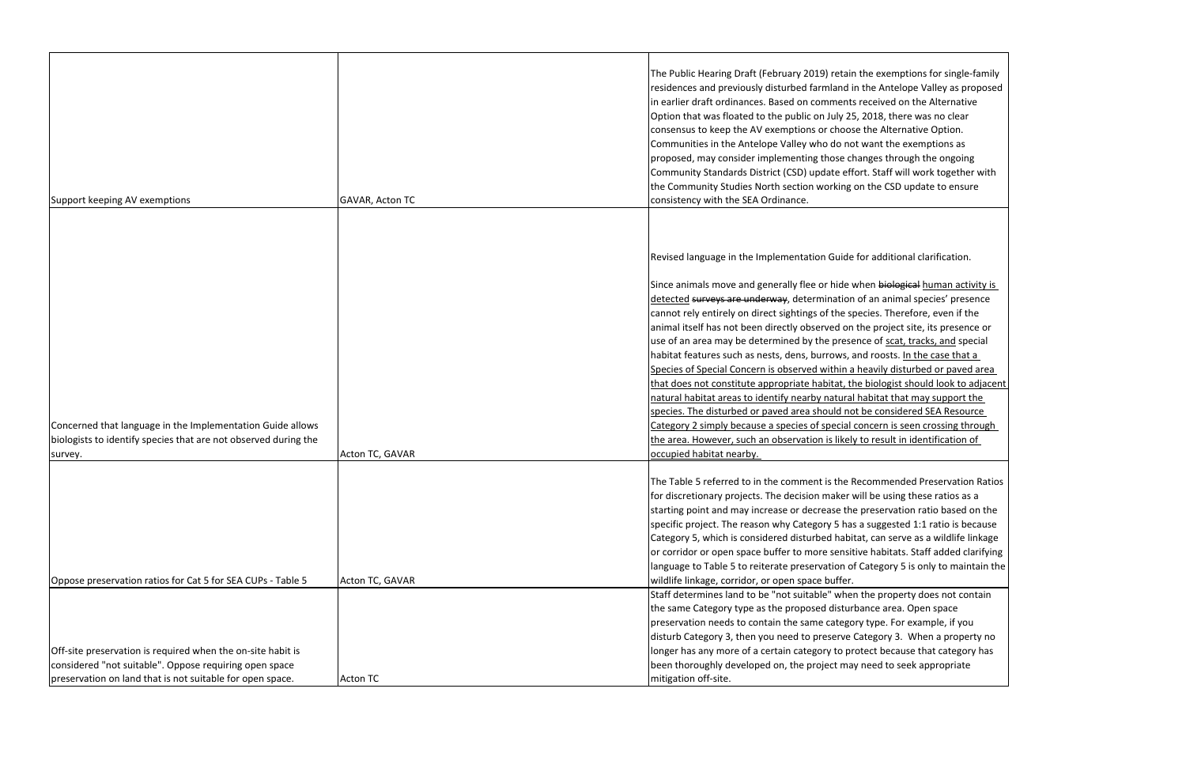|                                                                 |                 | The Public Hearing Draft (February 2019) retain th<br>residences and previously disturbed farmland in th<br>in earlier draft ordinances. Based on comments re<br>Option that was floated to the public on July 25, 2<br>consensus to keep the AV exemptions or choose tl<br>Communities in the Antelope Valley who do not w<br>proposed, may consider implementing those chan<br>Community Standards District (CSD) update effort            |
|-----------------------------------------------------------------|-----------------|----------------------------------------------------------------------------------------------------------------------------------------------------------------------------------------------------------------------------------------------------------------------------------------------------------------------------------------------------------------------------------------------------------------------------------------------|
|                                                                 |                 | the Community Studies North section working on                                                                                                                                                                                                                                                                                                                                                                                               |
| Support keeping AV exemptions                                   | GAVAR, Acton TC | consistency with the SEA Ordinance.                                                                                                                                                                                                                                                                                                                                                                                                          |
|                                                                 |                 | Revised language in the Implementation Guide for                                                                                                                                                                                                                                                                                                                                                                                             |
|                                                                 |                 | Since animals move and generally flee or hide whe<br>detected surveys are underway, determination of<br>cannot rely entirely on direct sightings of the spec<br>animal itself has not been directly observed on the<br>use of an area may be determined by the presence<br>habitat features such as nests, dens, burrows, and<br>Species of Special Concern is observed within a he                                                          |
|                                                                 |                 | that does not constitute appropriate habitat, the b                                                                                                                                                                                                                                                                                                                                                                                          |
|                                                                 |                 | natural habitat areas to identify nearby natural ha                                                                                                                                                                                                                                                                                                                                                                                          |
| Concerned that language in the Implementation Guide allows      |                 | species. The disturbed or paved area should not be<br>Category 2 simply because a species of special con                                                                                                                                                                                                                                                                                                                                     |
| biologists to identify species that are not observed during the |                 | the area. However, such an observation is likely to                                                                                                                                                                                                                                                                                                                                                                                          |
| survey.                                                         | Acton TC, GAVAR | occupied habitat nearby.                                                                                                                                                                                                                                                                                                                                                                                                                     |
| Oppose preservation ratios for Cat 5 for SEA CUPs - Table 5     | Acton TC, GAVAR | The Table 5 referred to in the comment is the Reco<br>for discretionary projects. The decision maker will<br>starting point and may increase or decrease the pr<br>specific project. The reason why Category 5 has a<br>Category 5, which is considered disturbed habitat,<br>or corridor or open space buffer to more sensitive<br>language to Table 5 to reiterate preservation of Ca<br>wildlife linkage, corridor, or open space buffer. |
|                                                                 |                 | Staff determines land to be "not suitable" when th<br>the same Category type as the proposed disturbar<br>preservation needs to contain the same category t<br>disturb Category 3, then you need to preserve Cat                                                                                                                                                                                                                             |
| Off-site preservation is required when the on-site habit is     |                 | longer has any more of a certain category to prote                                                                                                                                                                                                                                                                                                                                                                                           |
| considered "not suitable". Oppose requiring open space          |                 | been thoroughly developed on, the project may no                                                                                                                                                                                                                                                                                                                                                                                             |
| preservation on land that is not suitable for open space.       | <b>Acton TC</b> | mitigation off-site.                                                                                                                                                                                                                                                                                                                                                                                                                         |

ne exemptions for single-family he Antelope Valley as proposed eceived on the Alternative 2018, there was no clear he Alternative Option. vant the exemptions as nges through the ongoing . Staff will work together with I the CSD update to ensure

additional clarification.

en <del>biological</del> human activity is f an animal species' presence ries. Therefore, even if the e project site, its presence or e of scat, tracks, and special roosts. In the case that a Execily disturbed or paved area biologist should look to adjacent abitat that may support the <u>be considered SEA Resource</u> Category 2 seen crossing through result in identification of

commended Preservation Ratios be using these ratios as a reservation ratio based on the suggested 1:1 ratio is because can serve as a wildlife linkage chabitats. Staff added clarifying itegory 5 is only to maintain the

he property does not contain nce area. Open space type. For example, if you tegory 3. When a property no ect because that category has eed to seek appropriate